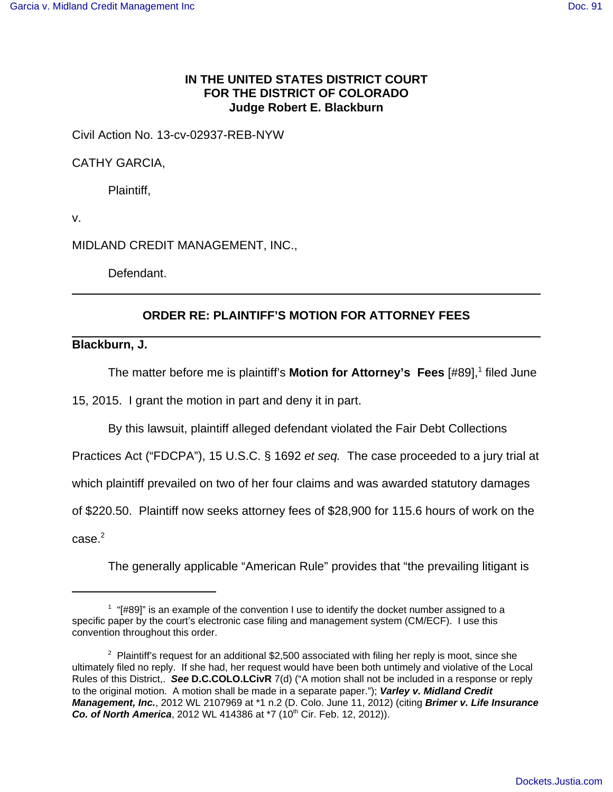## **IN THE UNITED STATES DISTRICT COURT FOR THE DISTRICT OF COLORADO Judge Robert E. Blackburn**

Civil Action No. 13-cv-02937-REB-NYW

CATHY GARCIA,

Plaintiff,

v.

MIDLAND CREDIT MANAGEMENT, INC.,

Defendant.

## **ORDER RE: PLAINTIFF'S MOTION FOR ATTORNEY FEES**

**Blackburn, J.**

The matter before me is plaintiff's Motion for Attorney's Fees [#89],<sup>1</sup> filed June

15, 2015. I grant the motion in part and deny it in part.

By this lawsuit, plaintiff alleged defendant violated the Fair Debt Collections

Practices Act ("FDCPA"), 15 U.S.C. § 1692 et seq. The case proceeded to a jury trial at

which plaintiff prevailed on two of her four claims and was awarded statutory damages

of \$220.50. Plaintiff now seeks attorney fees of \$28,900 for 115.6 hours of work on the

 $\csc^2$ 

The generally applicable "American Rule" provides that "the prevailing litigant is

 $1$  "[#89]" is an example of the convention I use to identify the docket number assigned to a specific paper by the court's electronic case filing and management system (CM/ECF). I use this convention throughout this order.

<sup>&</sup>lt;sup>2</sup> Plaintiff's request for an additional \$2,500 associated with filing her reply is moot, since she ultimately filed no reply. If she had, her request would have been both untimely and violative of the Local Rules of this District,. **See D.C.COLO.LCivR** 7(d) ("A motion shall not be included in a response or reply to the original motion. A motion shall be made in a separate paper."); **Varley v. Midland Credit Management, Inc.**, 2012 WL 2107969 at \*1 n.2 (D. Colo. June 11, 2012) (citing **Brimer v. Life Insurance Co. of North America**, 2012 WL 414386 at \*7 (10<sup>th</sup> Cir. Feb. 12, 2012)).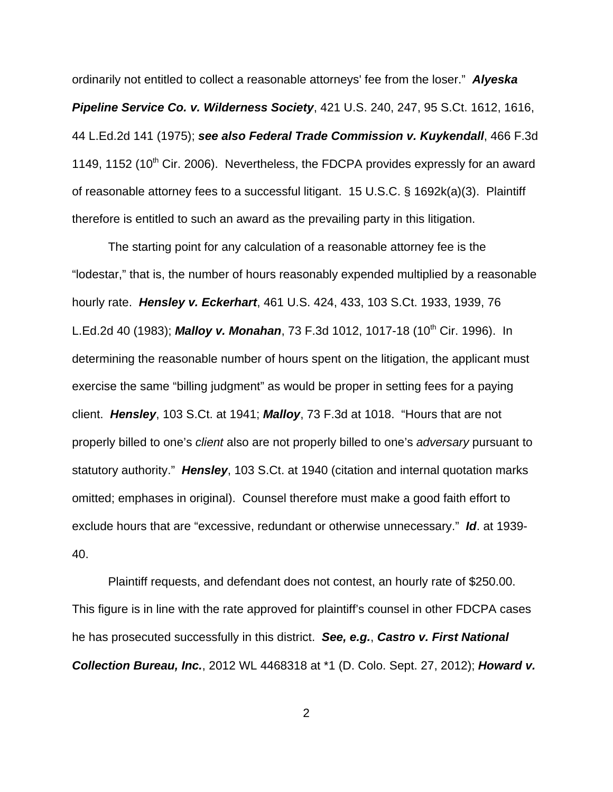ordinarily not entitled to collect a reasonable attorneys' fee from the loser." **Alyeska Pipeline Service Co. v. Wilderness Society**, 421 U.S. 240, 247, 95 S.Ct. 1612, 1616, 44 L.Ed.2d 141 (1975); **see also Federal Trade Commission v. Kuykendall**, 466 F.3d 1149, 1152 (10<sup>th</sup> Cir. 2006). Nevertheless, the FDCPA provides expressly for an award of reasonable attorney fees to a successful litigant. 15 U.S.C. § 1692k(a)(3). Plaintiff therefore is entitled to such an award as the prevailing party in this litigation.

The starting point for any calculation of a reasonable attorney fee is the "lodestar," that is, the number of hours reasonably expended multiplied by a reasonable hourly rate. **Hensley v. Eckerhart**, 461 U.S. 424, 433, 103 S.Ct. 1933, 1939, 76 L.Ed.2d 40 (1983); **Malloy v. Monahan**, 73 F.3d 1012, 1017-18 (10<sup>th</sup> Cir. 1996). In determining the reasonable number of hours spent on the litigation, the applicant must exercise the same "billing judgment" as would be proper in setting fees for a paying client. **Hensley**, 103 S.Ct. at 1941; **Malloy**, 73 F.3d at 1018. "Hours that are not properly billed to one's client also are not properly billed to one's adversary pursuant to statutory authority." **Hensley**, 103 S.Ct. at 1940 (citation and internal quotation marks omitted; emphases in original). Counsel therefore must make a good faith effort to exclude hours that are "excessive, redundant or otherwise unnecessary." **Id**. at 1939- 40.

Plaintiff requests, and defendant does not contest, an hourly rate of \$250.00. This figure is in line with the rate approved for plaintiff's counsel in other FDCPA cases he has prosecuted successfully in this district. **See, e.g.**, **Castro v. First National Collection Bureau, Inc.**, 2012 WL 4468318 at \*1 (D. Colo. Sept. 27, 2012); **Howard v.**

2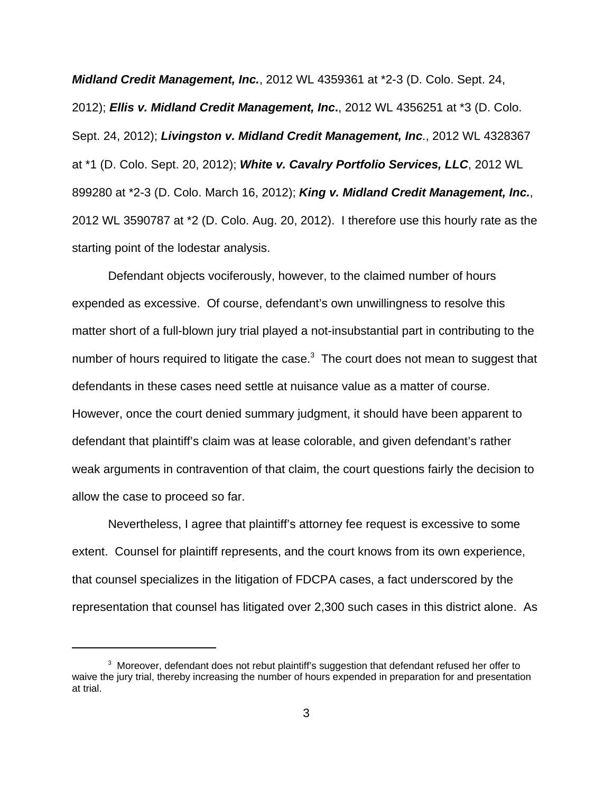**Midland Credit Management, Inc.**, 2012 WL 4359361 at \*2-3 (D. Colo. Sept. 24, 2012); **Ellis v. Midland Credit Management, Inc.**, 2012 WL 4356251 at \*3 (D. Colo. Sept. 24, 2012); **Livingston v. Midland Credit Management, Inc**., 2012 WL 4328367 at \*1 (D. Colo. Sept. 20, 2012); **White v. Cavalry Portfolio Services, LLC**, 2012 WL 899280 at \*2-3 (D. Colo. March 16, 2012); **King v. Midland Credit Management, Inc.**, 2012 WL 3590787 at \*2 (D. Colo. Aug. 20, 2012). I therefore use this hourly rate as the starting point of the lodestar analysis.

Defendant objects vociferously, however, to the claimed number of hours expended as excessive. Of course, defendant's own unwillingness to resolve this matter short of a full-blown jury trial played a not-insubstantial part in contributing to the number of hours required to litigate the case. $3$  The court does not mean to suggest that defendants in these cases need settle at nuisance value as a matter of course. However, once the court denied summary judgment, it should have been apparent to defendant that plaintiff's claim was at lease colorable, and given defendant's rather weak arguments in contravention of that claim, the court questions fairly the decision to allow the case to proceed so far.

Nevertheless, I agree that plaintiff's attorney fee request is excessive to some extent. Counsel for plaintiff represents, and the court knows from its own experience, that counsel specializes in the litigation of FDCPA cases, a fact underscored by the representation that counsel has litigated over 2,300 such cases in this district alone. As

 $3$  Moreover, defendant does not rebut plaintiff's suggestion that defendant refused her offer to waive the jury trial, thereby increasing the number of hours expended in preparation for and presentation at trial.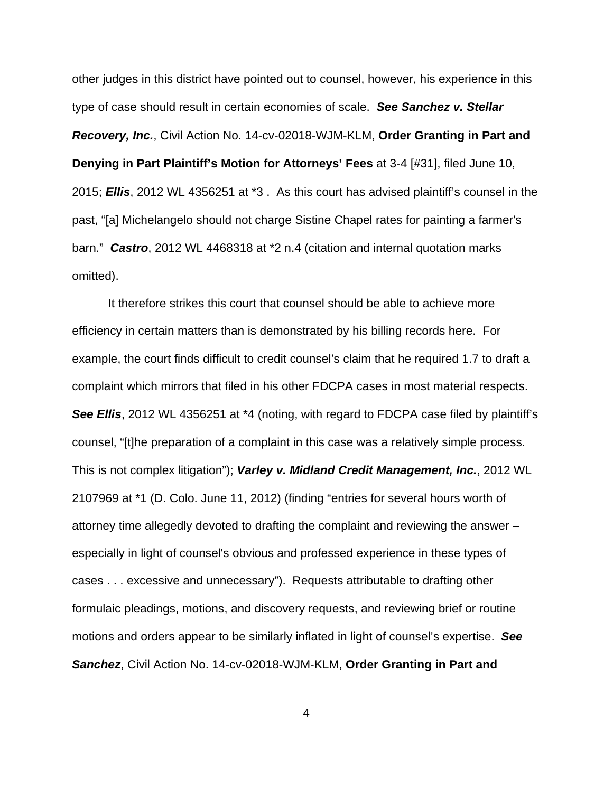other judges in this district have pointed out to counsel, however, his experience in this type of case should result in certain economies of scale. **See Sanchez v. Stellar Recovery, Inc.**, Civil Action No. 14-cv-02018-WJM-KLM, **Order Granting in Part and Denying in Part Plaintiff's Motion for Attorneys' Fees** at 3-4 [#31], filed June 10, 2015; **Ellis**, 2012 WL 4356251 at \*3 . As this court has advised plaintiff's counsel in the past, "[a] Michelangelo should not charge Sistine Chapel rates for painting a farmer's barn." **Castro**, 2012 WL 4468318 at \*2 n.4 (citation and internal quotation marks omitted).

It therefore strikes this court that counsel should be able to achieve more efficiency in certain matters than is demonstrated by his billing records here. For example, the court finds difficult to credit counsel's claim that he required 1.7 to draft a complaint which mirrors that filed in his other FDCPA cases in most material respects. **See Ellis**, 2012 WL 4356251 at <sup>\*</sup>4 (noting, with regard to FDCPA case filed by plaintiff's counsel, "[t]he preparation of a complaint in this case was a relatively simple process. This is not complex litigation"); **Varley v. Midland Credit Management, Inc.**, 2012 WL 2107969 at \*1 (D. Colo. June 11, 2012) (finding "entries for several hours worth of attorney time allegedly devoted to drafting the complaint and reviewing the answer – especially in light of counsel's obvious and professed experience in these types of cases . . . excessive and unnecessary"). Requests attributable to drafting other formulaic pleadings, motions, and discovery requests, and reviewing brief or routine motions and orders appear to be similarly inflated in light of counsel's expertise. **See Sanchez**, Civil Action No. 14-cv-02018-WJM-KLM, **Order Granting in Part and**

4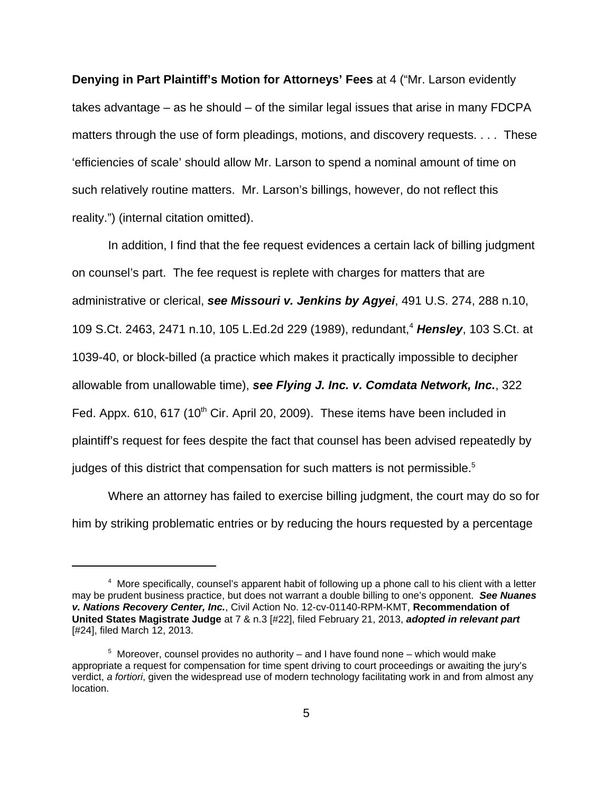**Denying in Part Plaintiff's Motion for Attorneys' Fees** at 4 ("Mr. Larson evidently takes advantage – as he should – of the similar legal issues that arise in many FDCPA matters through the use of form pleadings, motions, and discovery requests. . . . These 'efficiencies of scale' should allow Mr. Larson to spend a nominal amount of time on such relatively routine matters. Mr. Larson's billings, however, do not reflect this reality.") (internal citation omitted).

In addition, I find that the fee request evidences a certain lack of billing judgment on counsel's part. The fee request is replete with charges for matters that are administrative or clerical, **see Missouri v. Jenkins by Agyei**, 491 U.S. 274, 288 n.10, 109 S.Ct. 2463, 2471 n.10, 105 L.Ed.2d 229 (1989), redundant,<sup>4</sup> Hensley, 103 S.Ct. at 1039-40, or block-billed (a practice which makes it practically impossible to decipher allowable from unallowable time), **see Flying J. Inc. v. Comdata Network, Inc.**, 322 Fed. Appx. 610, 617 (10<sup>th</sup> Cir. April 20, 2009). These items have been included in plaintiff's request for fees despite the fact that counsel has been advised repeatedly by judges of this district that compensation for such matters is not permissible.<sup>5</sup>

Where an attorney has failed to exercise billing judgment, the court may do so for him by striking problematic entries or by reducing the hours requested by a percentage

<sup>&</sup>lt;sup>4</sup> More specifically, counsel's apparent habit of following up a phone call to his client with a letter may be prudent business practice, but does not warrant a double billing to one's opponent. **See Nuanes v. Nations Recovery Center, Inc.**, Civil Action No. 12-cv-01140-RPM-KMT, **Recommendation of United States Magistrate Judge** at 7 & n.3 [#22], filed February 21, 2013, **adopted in relevant part** [#24], filed March 12, 2013.

 $5$  Moreover, counsel provides no authority – and I have found none – which would make appropriate a request for compensation for time spent driving to court proceedings or awaiting the jury's verdict, a fortiori, given the widespread use of modern technology facilitating work in and from almost any location.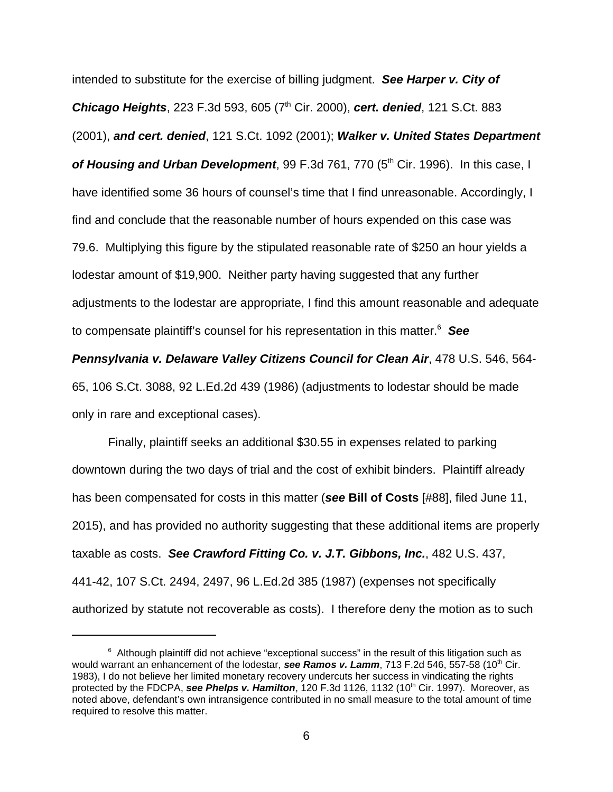intended to substitute for the exercise of billing judgment. **See Harper v. City of Chicago Heights**, 223 F.3d 593, 605 (7<sup>th</sup> Cir. 2000), **cert. denied**, 121 S.Ct. 883 (2001), **and cert. denied**, 121 S.Ct. 1092 (2001); **Walker v. United States Department of Housing and Urban Development**, 99 F.3d 761, 770 (5<sup>th</sup> Cir. 1996). In this case, I have identified some 36 hours of counsel's time that I find unreasonable. Accordingly, I find and conclude that the reasonable number of hours expended on this case was 79.6. Multiplying this figure by the stipulated reasonable rate of \$250 an hour yields a lodestar amount of \$19,900. Neither party having suggested that any further adjustments to the lodestar are appropriate, I find this amount reasonable and adequate to compensate plaintiff's counsel for his representation in this matter.<sup>6</sup> See

**Pennsylvania v. Delaware Valley Citizens Council for Clean Air**, 478 U.S. 546, 564- 65, 106 S.Ct. 3088, 92 L.Ed.2d 439 (1986) (adjustments to lodestar should be made only in rare and exceptional cases).

Finally, plaintiff seeks an additional \$30.55 in expenses related to parking downtown during the two days of trial and the cost of exhibit binders. Plaintiff already has been compensated for costs in this matter (**see Bill of Costs** [#88], filed June 11, 2015), and has provided no authority suggesting that these additional items are properly taxable as costs. **See Crawford Fitting Co. v. J.T. Gibbons, Inc.**, 482 U.S. 437, 441-42, 107 S.Ct. 2494, 2497, 96 L.Ed.2d 385 (1987) (expenses not specifically authorized by statute not recoverable as costs). I therefore deny the motion as to such

 $6$  Although plaintiff did not achieve "exceptional success" in the result of this litigation such as would warrant an enhancement of the lodestar, **see Ramos v. Lamm**, 713 F.2d 546, 557-58 (10<sup>th</sup> Cir. 1983), I do not believe her limited monetary recovery undercuts her success in vindicating the rights protected by the FDCPA, see Phelps v. Hamilton, 120 F.3d 1126, 1132 (10<sup>th</sup> Cir. 1997). Moreover, as noted above, defendant's own intransigence contributed in no small measure to the total amount of time required to resolve this matter.